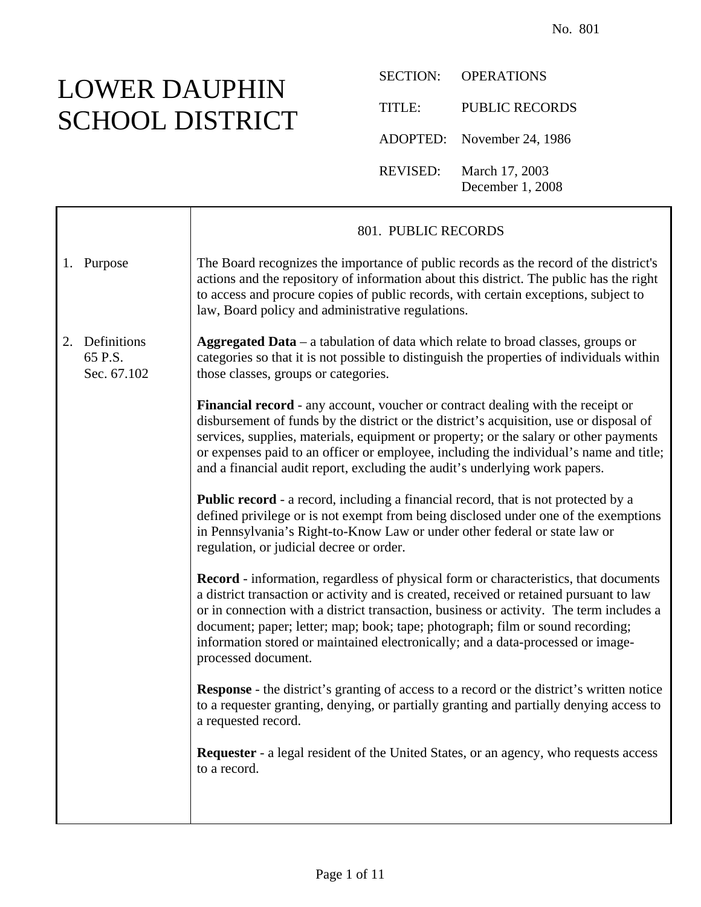## LOWER DAUPHIN SCHOOL DISTRICT

Τ

SECTION: OPERATIONS TITLE: PUBLIC RECORDS ADOPTED: November 24, 1986 REVISED: March 17, 2003 December 1, 2008

|    |                                       | 801. PUBLIC RECORDS                                                                                                                                                                                                                                                                                                                                                                                                                                                           |
|----|---------------------------------------|-------------------------------------------------------------------------------------------------------------------------------------------------------------------------------------------------------------------------------------------------------------------------------------------------------------------------------------------------------------------------------------------------------------------------------------------------------------------------------|
|    | 1. Purpose                            | The Board recognizes the importance of public records as the record of the district's<br>actions and the repository of information about this district. The public has the right<br>to access and procure copies of public records, with certain exceptions, subject to<br>law, Board policy and administrative regulations.                                                                                                                                                  |
| 2. | Definitions<br>65 P.S.<br>Sec. 67.102 | Aggregated Data – a tabulation of data which relate to broad classes, groups or<br>categories so that it is not possible to distinguish the properties of individuals within<br>those classes, groups or categories.                                                                                                                                                                                                                                                          |
|    |                                       | <b>Financial record</b> - any account, voucher or contract dealing with the receipt or<br>disbursement of funds by the district or the district's acquisition, use or disposal of<br>services, supplies, materials, equipment or property; or the salary or other payments<br>or expenses paid to an officer or employee, including the individual's name and title;<br>and a financial audit report, excluding the audit's underlying work papers.                           |
|    |                                       | <b>Public record</b> - a record, including a financial record, that is not protected by a<br>defined privilege or is not exempt from being disclosed under one of the exemptions<br>in Pennsylvania's Right-to-Know Law or under other federal or state law or<br>regulation, or judicial decree or order.                                                                                                                                                                    |
|    |                                       | <b>Record</b> - information, regardless of physical form or characteristics, that documents<br>a district transaction or activity and is created, received or retained pursuant to law<br>or in connection with a district transaction, business or activity. The term includes a<br>document; paper; letter; map; book; tape; photograph; film or sound recording;<br>information stored or maintained electronically; and a data-processed or image-<br>processed document. |
|    |                                       | <b>Response</b> - the district's granting of access to a record or the district's written notice<br>to a requester granting, denying, or partially granting and partially denying access to<br>a requested record.                                                                                                                                                                                                                                                            |
|    |                                       | Requester - a legal resident of the United States, or an agency, who requests access<br>to a record.                                                                                                                                                                                                                                                                                                                                                                          |
|    |                                       |                                                                                                                                                                                                                                                                                                                                                                                                                                                                               |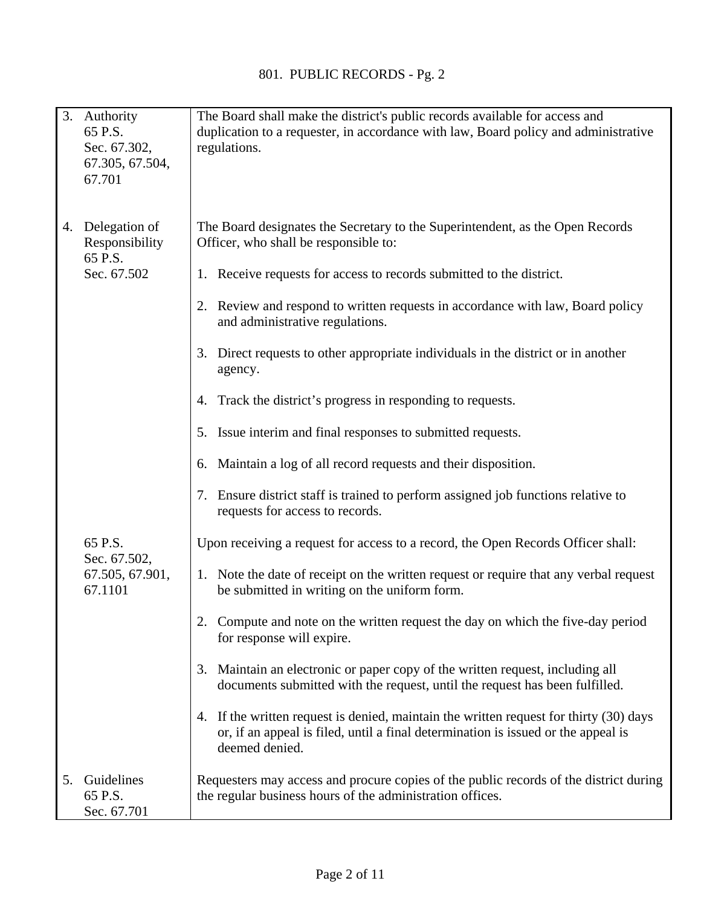| 3. | Authority<br>65 P.S.<br>Sec. 67.302,<br>67.305, 67.504,<br>67.701 | The Board shall make the district's public records available for access and<br>duplication to a requester, in accordance with law, Board policy and administrative<br>regulations.            |
|----|-------------------------------------------------------------------|-----------------------------------------------------------------------------------------------------------------------------------------------------------------------------------------------|
|    | 4. Delegation of<br>Responsibility<br>65 P.S.                     | The Board designates the Secretary to the Superintendent, as the Open Records<br>Officer, who shall be responsible to:                                                                        |
|    | Sec. 67.502                                                       | 1. Receive requests for access to records submitted to the district.                                                                                                                          |
|    |                                                                   | 2. Review and respond to written requests in accordance with law, Board policy<br>and administrative regulations.                                                                             |
|    |                                                                   | 3. Direct requests to other appropriate individuals in the district or in another<br>agency.                                                                                                  |
|    |                                                                   | Track the district's progress in responding to requests.<br>4.                                                                                                                                |
|    |                                                                   | 5. Issue interim and final responses to submitted requests.                                                                                                                                   |
|    |                                                                   | 6. Maintain a log of all record requests and their disposition.                                                                                                                               |
|    |                                                                   | 7. Ensure district staff is trained to perform assigned job functions relative to<br>requests for access to records.                                                                          |
|    | 65 P.S.<br>Sec. 67.502,<br>67.505, 67.901,<br>67.1101             | Upon receiving a request for access to a record, the Open Records Officer shall:                                                                                                              |
|    |                                                                   | 1. Note the date of receipt on the written request or require that any verbal request<br>be submitted in writing on the uniform form.                                                         |
|    |                                                                   | 2. Compute and note on the written request the day on which the five-day period<br>for response will expire.                                                                                  |
|    |                                                                   | 3. Maintain an electronic or paper copy of the written request, including all<br>documents submitted with the request, until the request has been fulfilled.                                  |
|    |                                                                   | 4. If the written request is denied, maintain the written request for thirty (30) days<br>or, if an appeal is filed, until a final determination is issued or the appeal is<br>deemed denied. |
| 5. | Guidelines<br>65 P.S.<br>Sec. 67.701                              | Requesters may access and procure copies of the public records of the district during<br>the regular business hours of the administration offices.                                            |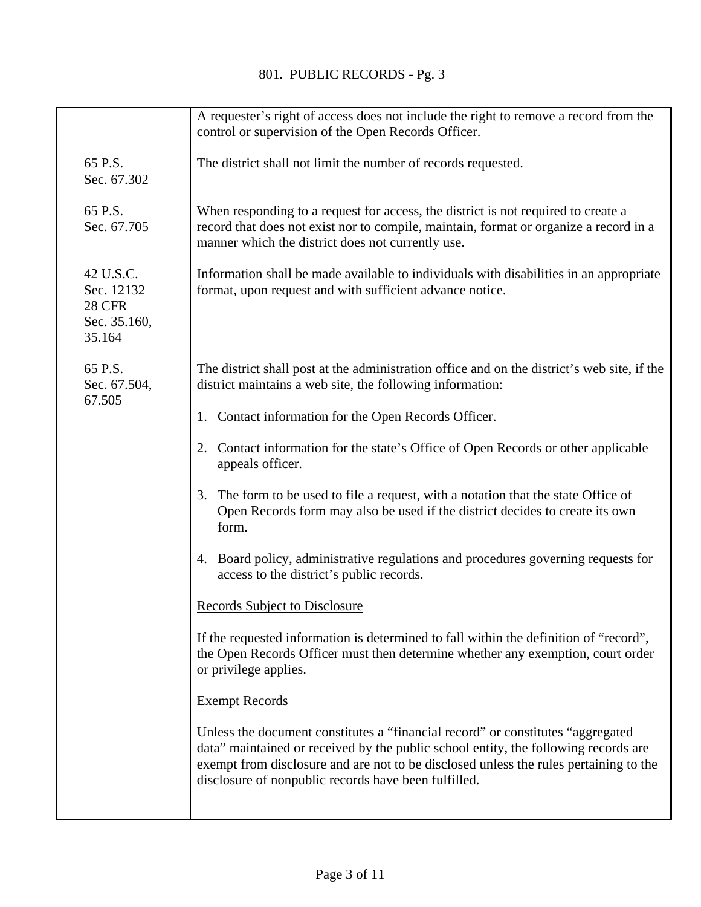|                                                                    | A requester's right of access does not include the right to remove a record from the<br>control or supervision of the Open Records Officer.                                                                                                                                                                              |
|--------------------------------------------------------------------|--------------------------------------------------------------------------------------------------------------------------------------------------------------------------------------------------------------------------------------------------------------------------------------------------------------------------|
| 65 P.S.<br>Sec. 67.302                                             | The district shall not limit the number of records requested.                                                                                                                                                                                                                                                            |
| 65 P.S.<br>Sec. 67.705                                             | When responding to a request for access, the district is not required to create a<br>record that does not exist nor to compile, maintain, format or organize a record in a<br>manner which the district does not currently use.                                                                                          |
| 42 U.S.C.<br>Sec. 12132<br><b>28 CFR</b><br>Sec. 35.160,<br>35.164 | Information shall be made available to individuals with disabilities in an appropriate<br>format, upon request and with sufficient advance notice.                                                                                                                                                                       |
| 65 P.S.<br>Sec. 67.504,<br>67.505                                  | The district shall post at the administration office and on the district's web site, if the<br>district maintains a web site, the following information:                                                                                                                                                                 |
|                                                                    | 1. Contact information for the Open Records Officer.                                                                                                                                                                                                                                                                     |
|                                                                    | Contact information for the state's Office of Open Records or other applicable<br>2.<br>appeals officer.                                                                                                                                                                                                                 |
|                                                                    | The form to be used to file a request, with a notation that the state Office of<br>3.<br>Open Records form may also be used if the district decides to create its own<br>form.                                                                                                                                           |
|                                                                    | 4. Board policy, administrative regulations and procedures governing requests for<br>access to the district's public records.                                                                                                                                                                                            |
|                                                                    | <b>Records Subject to Disclosure</b>                                                                                                                                                                                                                                                                                     |
|                                                                    | If the requested information is determined to fall within the definition of "record",<br>the Open Records Officer must then determine whether any exemption, court order<br>or privilege applies.                                                                                                                        |
|                                                                    | <b>Exempt Records</b>                                                                                                                                                                                                                                                                                                    |
|                                                                    | Unless the document constitutes a "financial record" or constitutes "aggregated"<br>data" maintained or received by the public school entity, the following records are<br>exempt from disclosure and are not to be disclosed unless the rules pertaining to the<br>disclosure of nonpublic records have been fulfilled. |
|                                                                    |                                                                                                                                                                                                                                                                                                                          |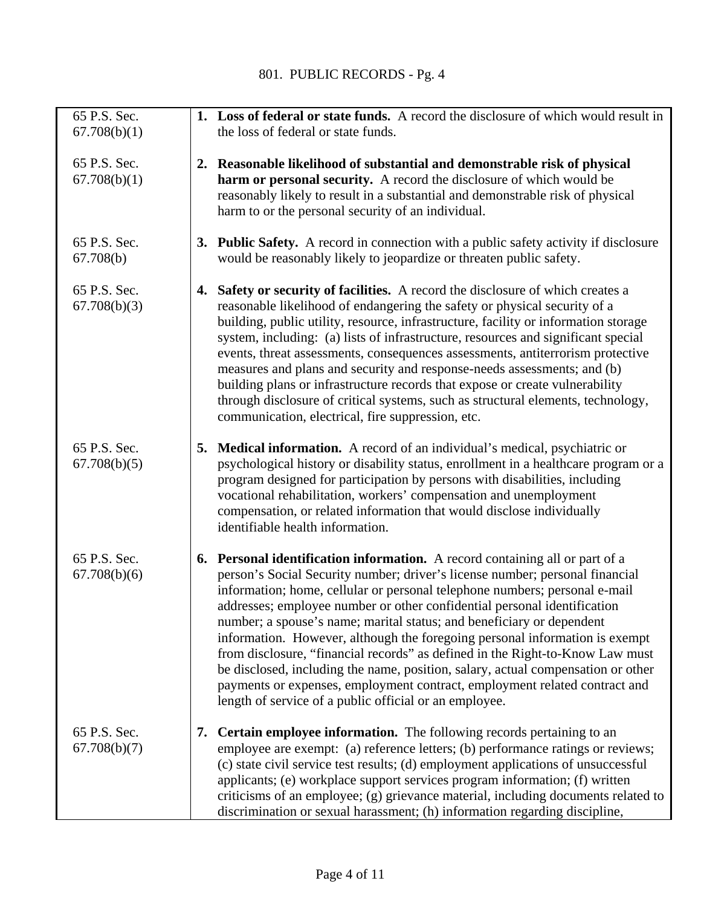| 65 P.S. Sec.                 | 1. Loss of federal or state funds. A record the disclosure of which would result in                                                                                                                                                                                                                                                                                                                                                                                                                                                                                                                                                                                                                                                                                                         |
|------------------------------|---------------------------------------------------------------------------------------------------------------------------------------------------------------------------------------------------------------------------------------------------------------------------------------------------------------------------------------------------------------------------------------------------------------------------------------------------------------------------------------------------------------------------------------------------------------------------------------------------------------------------------------------------------------------------------------------------------------------------------------------------------------------------------------------|
| 67.708(b)(1)                 | the loss of federal or state funds.                                                                                                                                                                                                                                                                                                                                                                                                                                                                                                                                                                                                                                                                                                                                                         |
| 65 P.S. Sec.<br>67.708(b)(1) | 2. Reasonable likelihood of substantial and demonstrable risk of physical<br>harm or personal security. A record the disclosure of which would be<br>reasonably likely to result in a substantial and demonstrable risk of physical<br>harm to or the personal security of an individual.                                                                                                                                                                                                                                                                                                                                                                                                                                                                                                   |
| 65 P.S. Sec.<br>67.708(b)    | 3. Public Safety. A record in connection with a public safety activity if disclosure<br>would be reasonably likely to jeopardize or threaten public safety.                                                                                                                                                                                                                                                                                                                                                                                                                                                                                                                                                                                                                                 |
| 65 P.S. Sec.<br>67.708(b)(3) | 4. Safety or security of facilities. A record the disclosure of which creates a<br>reasonable likelihood of endangering the safety or physical security of a<br>building, public utility, resource, infrastructure, facility or information storage<br>system, including: (a) lists of infrastructure, resources and significant special<br>events, threat assessments, consequences assessments, antiterrorism protective<br>measures and plans and security and response-needs assessments; and (b)<br>building plans or infrastructure records that expose or create vulnerability<br>through disclosure of critical systems, such as structural elements, technology,<br>communication, electrical, fire suppression, etc.                                                              |
| 65 P.S. Sec.<br>67.708(b)(5) | 5. Medical information. A record of an individual's medical, psychiatric or<br>psychological history or disability status, enrollment in a healthcare program or a<br>program designed for participation by persons with disabilities, including<br>vocational rehabilitation, workers' compensation and unemployment<br>compensation, or related information that would disclose individually<br>identifiable health information.                                                                                                                                                                                                                                                                                                                                                          |
| 65 P.S. Sec.<br>67.708(b)(6) | 6. Personal identification information. A record containing all or part of a<br>person's Social Security number; driver's license number; personal financial<br>information; home, cellular or personal telephone numbers; personal e-mail<br>addresses; employee number or other confidential personal identification<br>number; a spouse's name; marital status; and beneficiary or dependent<br>information. However, although the foregoing personal information is exempt<br>from disclosure, "financial records" as defined in the Right-to-Know Law must<br>be disclosed, including the name, position, salary, actual compensation or other<br>payments or expenses, employment contract, employment related contract and<br>length of service of a public official or an employee. |
| 65 P.S. Sec.<br>67.708(b)(7) | 7. Certain employee information. The following records pertaining to an<br>employee are exempt: (a) reference letters; (b) performance ratings or reviews;<br>(c) state civil service test results; (d) employment applications of unsuccessful<br>applicants; (e) workplace support services program information; (f) written<br>criticisms of an employee; (g) grievance material, including documents related to<br>discrimination or sexual harassment; (h) information regarding discipline,                                                                                                                                                                                                                                                                                           |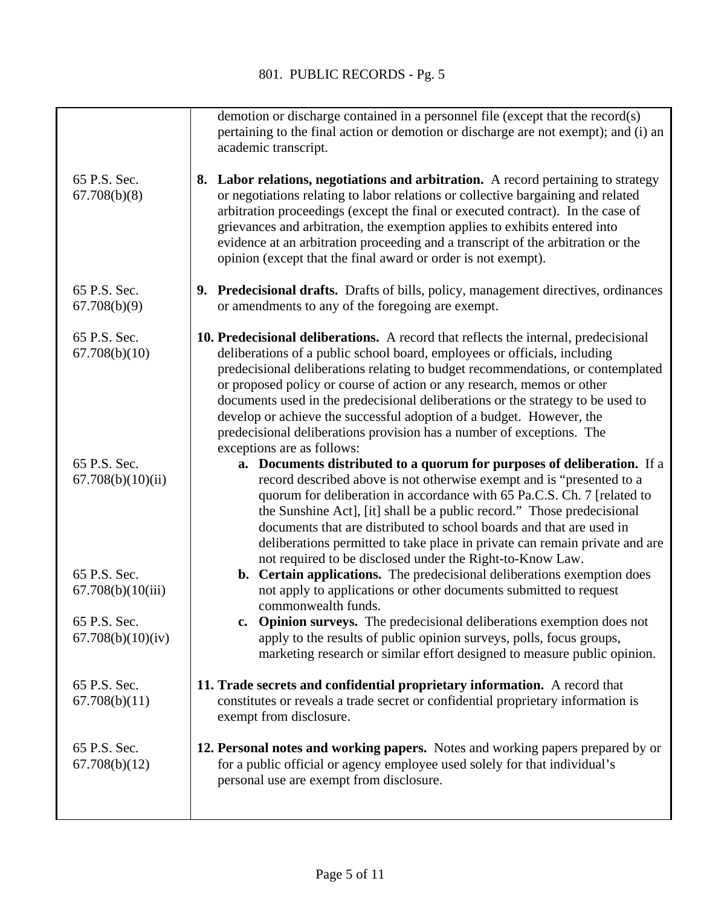|                                    | demotion or discharge contained in a personnel file (except that the record(s)<br>pertaining to the final action or demotion or discharge are not exempt); and (i) an<br>academic transcript.                                                                                                                                                                                                                                                                                                                                                                                                   |
|------------------------------------|-------------------------------------------------------------------------------------------------------------------------------------------------------------------------------------------------------------------------------------------------------------------------------------------------------------------------------------------------------------------------------------------------------------------------------------------------------------------------------------------------------------------------------------------------------------------------------------------------|
| 65 P.S. Sec.<br>67.708(b)(8)       | 8. Labor relations, negotiations and arbitration. A record pertaining to strategy<br>or negotiations relating to labor relations or collective bargaining and related<br>arbitration proceedings (except the final or executed contract). In the case of<br>grievances and arbitration, the exemption applies to exhibits entered into<br>evidence at an arbitration proceeding and a transcript of the arbitration or the<br>opinion (except that the final award or order is not exempt).                                                                                                     |
| 65 P.S. Sec.<br>67.708(b)(9)       | 9. Predecisional drafts. Drafts of bills, policy, management directives, ordinances<br>or amendments to any of the foregoing are exempt.                                                                                                                                                                                                                                                                                                                                                                                                                                                        |
| 65 P.S. Sec.<br>67.708(b)(10)      | 10. Predecisional deliberations. A record that reflects the internal, predecisional<br>deliberations of a public school board, employees or officials, including<br>predecisional deliberations relating to budget recommendations, or contemplated<br>or proposed policy or course of action or any research, memos or other<br>documents used in the predecisional deliberations or the strategy to be used to<br>develop or achieve the successful adoption of a budget. However, the<br>predecisional deliberations provision has a number of exceptions. The<br>exceptions are as follows: |
| 65 P.S. Sec.<br>67.708(b)(10)(ii)  | a. Documents distributed to a quorum for purposes of deliberation. If a<br>record described above is not otherwise exempt and is "presented to a<br>quorum for deliberation in accordance with 65 Pa.C.S. Ch. 7 [related to<br>the Sunshine Act], [it] shall be a public record." Those predecisional<br>documents that are distributed to school boards and that are used in<br>deliberations permitted to take place in private can remain private and are<br>not required to be disclosed under the Right-to-Know Law.                                                                       |
| 65 P.S. Sec.<br>67.708(b)(10(iii)) | b. Certain applications. The predecisional deliberations exemption does<br>not apply to applications or other documents submitted to request<br>commonwealth funds.                                                                                                                                                                                                                                                                                                                                                                                                                             |
| 65 P.S. Sec.<br>67.708(b)(10)(iv)  | c. Opinion surveys. The predecisional deliberations exemption does not<br>apply to the results of public opinion surveys, polls, focus groups,<br>marketing research or similar effort designed to measure public opinion.                                                                                                                                                                                                                                                                                                                                                                      |
| 65 P.S. Sec.<br>67.708(b)(11)      | 11. Trade secrets and confidential proprietary information. A record that<br>constitutes or reveals a trade secret or confidential proprietary information is<br>exempt from disclosure.                                                                                                                                                                                                                                                                                                                                                                                                        |
| 65 P.S. Sec.<br>67.708(b)(12)      | 12. Personal notes and working papers. Notes and working papers prepared by or<br>for a public official or agency employee used solely for that individual's<br>personal use are exempt from disclosure.                                                                                                                                                                                                                                                                                                                                                                                        |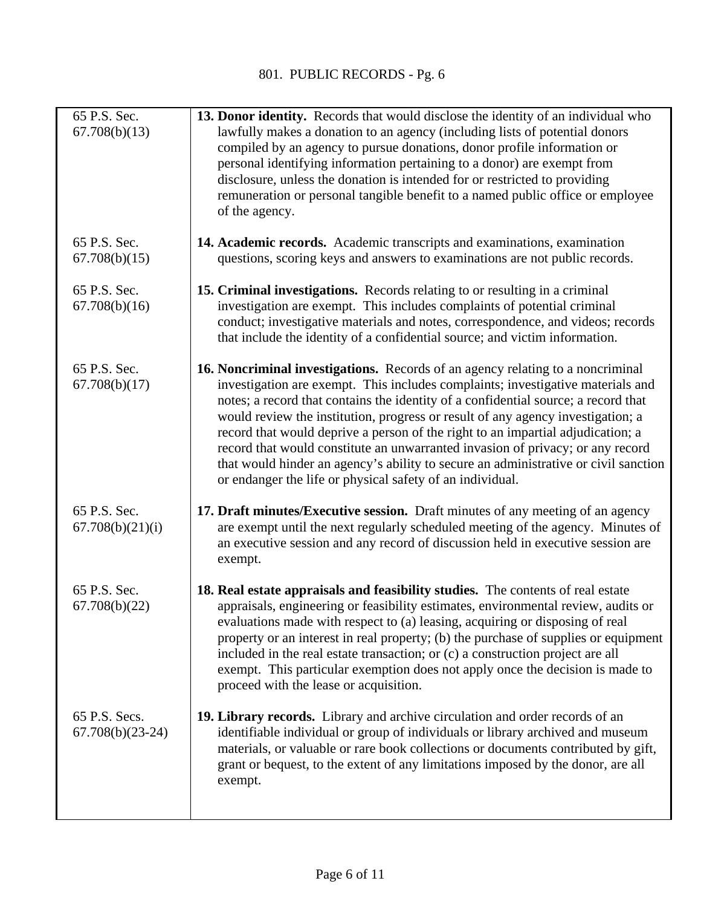| 65 P.S. Sec.<br>67.708(b)(13)       | 13. Donor identity. Records that would disclose the identity of an individual who<br>lawfully makes a donation to an agency (including lists of potential donors<br>compiled by an agency to pursue donations, donor profile information or<br>personal identifying information pertaining to a donor) are exempt from<br>disclosure, unless the donation is intended for or restricted to providing<br>remuneration or personal tangible benefit to a named public office or employee<br>of the agency.                                                                                                                                                            |
|-------------------------------------|---------------------------------------------------------------------------------------------------------------------------------------------------------------------------------------------------------------------------------------------------------------------------------------------------------------------------------------------------------------------------------------------------------------------------------------------------------------------------------------------------------------------------------------------------------------------------------------------------------------------------------------------------------------------|
| 65 P.S. Sec.<br>67.708(b)(15)       | 14. Academic records. Academic transcripts and examinations, examination<br>questions, scoring keys and answers to examinations are not public records.                                                                                                                                                                                                                                                                                                                                                                                                                                                                                                             |
| 65 P.S. Sec.<br>67.708(b)(16)       | 15. Criminal investigations. Records relating to or resulting in a criminal<br>investigation are exempt. This includes complaints of potential criminal<br>conduct; investigative materials and notes, correspondence, and videos; records<br>that include the identity of a confidential source; and victim information.                                                                                                                                                                                                                                                                                                                                           |
| 65 P.S. Sec.<br>67.708(b)(17)       | 16. Noncriminal investigations. Records of an agency relating to a noncriminal<br>investigation are exempt. This includes complaints; investigative materials and<br>notes; a record that contains the identity of a confidential source; a record that<br>would review the institution, progress or result of any agency investigation; a<br>record that would deprive a person of the right to an impartial adjudication; a<br>record that would constitute an unwarranted invasion of privacy; or any record<br>that would hinder an agency's ability to secure an administrative or civil sanction<br>or endanger the life or physical safety of an individual. |
| 65 P.S. Sec.<br>67.708(b)(21)(i)    | 17. Draft minutes/Executive session. Draft minutes of any meeting of an agency<br>are exempt until the next regularly scheduled meeting of the agency. Minutes of<br>an executive session and any record of discussion held in executive session are<br>exempt.                                                                                                                                                                                                                                                                                                                                                                                                     |
| 65 P.S. Sec.<br>67.708(b)(22)       | 18. Real estate appraisals and feasibility studies. The contents of real estate<br>appraisals, engineering or feasibility estimates, environmental review, audits or<br>evaluations made with respect to (a) leasing, acquiring or disposing of real<br>property or an interest in real property; (b) the purchase of supplies or equipment<br>included in the real estate transaction; or (c) a construction project are all<br>exempt. This particular exemption does not apply once the decision is made to<br>proceed with the lease or acquisition.                                                                                                            |
| 65 P.S. Secs.<br>$67.708(b)(23-24)$ | 19. Library records. Library and archive circulation and order records of an<br>identifiable individual or group of individuals or library archived and museum<br>materials, or valuable or rare book collections or documents contributed by gift,<br>grant or bequest, to the extent of any limitations imposed by the donor, are all<br>exempt.                                                                                                                                                                                                                                                                                                                  |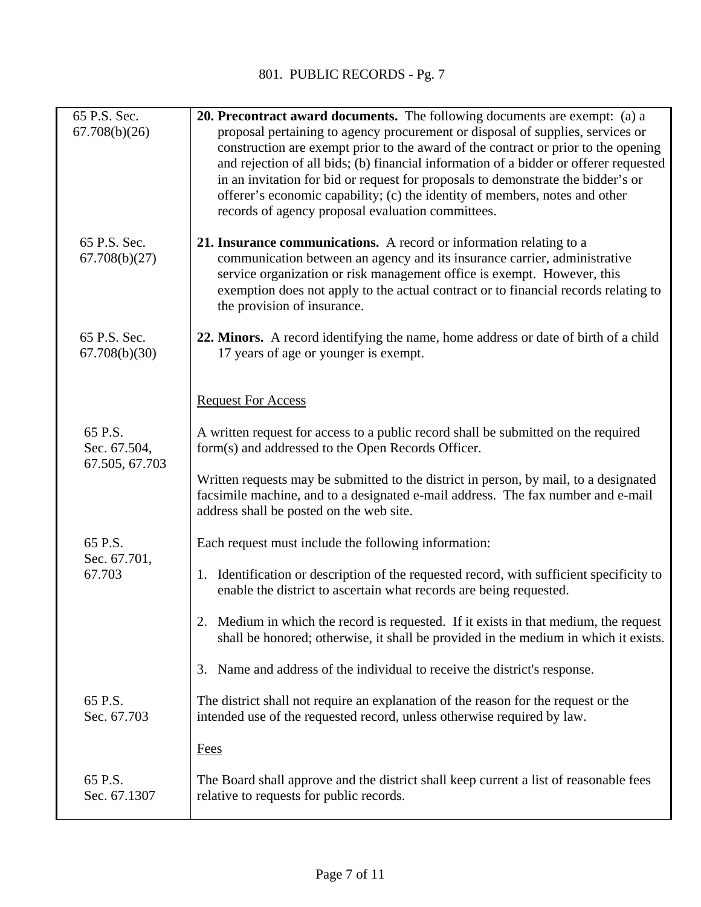| 65 P.S. Sec.<br>67.708(b)(26)             | <b>20. Precontract award documents.</b> The following documents are exempt: (a) a<br>proposal pertaining to agency procurement or disposal of supplies, services or<br>construction are exempt prior to the award of the contract or prior to the opening<br>and rejection of all bids; (b) financial information of a bidder or offerer requested<br>in an invitation for bid or request for proposals to demonstrate the bidder's or<br>offerer's economic capability; (c) the identity of members, notes and other<br>records of agency proposal evaluation committees. |
|-------------------------------------------|----------------------------------------------------------------------------------------------------------------------------------------------------------------------------------------------------------------------------------------------------------------------------------------------------------------------------------------------------------------------------------------------------------------------------------------------------------------------------------------------------------------------------------------------------------------------------|
| 65 P.S. Sec.<br>67.708(b)(27)             | 21. Insurance communications. A record or information relating to a<br>communication between an agency and its insurance carrier, administrative<br>service organization or risk management office is exempt. However, this<br>exemption does not apply to the actual contract or to financial records relating to<br>the provision of insurance.                                                                                                                                                                                                                          |
| 65 P.S. Sec.<br>67.708(b)(30)             | 22. Minors. A record identifying the name, home address or date of birth of a child<br>17 years of age or younger is exempt.                                                                                                                                                                                                                                                                                                                                                                                                                                               |
|                                           | <b>Request For Access</b>                                                                                                                                                                                                                                                                                                                                                                                                                                                                                                                                                  |
| 65 P.S.<br>Sec. 67.504,<br>67.505, 67.703 | A written request for access to a public record shall be submitted on the required<br>form(s) and addressed to the Open Records Officer.                                                                                                                                                                                                                                                                                                                                                                                                                                   |
|                                           | Written requests may be submitted to the district in person, by mail, to a designated<br>facsimile machine, and to a designated e-mail address. The fax number and e-mail<br>address shall be posted on the web site.                                                                                                                                                                                                                                                                                                                                                      |
| 65 P.S.<br>Sec. 67.701,                   | Each request must include the following information:                                                                                                                                                                                                                                                                                                                                                                                                                                                                                                                       |
| 67.703                                    | 1. Identification or description of the requested record, with sufficient specificity to<br>enable the district to ascertain what records are being requested.                                                                                                                                                                                                                                                                                                                                                                                                             |
|                                           | 2. Medium in which the record is requested. If it exists in that medium, the request<br>shall be honored; otherwise, it shall be provided in the medium in which it exists.                                                                                                                                                                                                                                                                                                                                                                                                |
|                                           | Name and address of the individual to receive the district's response.<br>3.                                                                                                                                                                                                                                                                                                                                                                                                                                                                                               |
| 65 P.S.<br>Sec. 67.703                    | The district shall not require an explanation of the reason for the request or the<br>intended use of the requested record, unless otherwise required by law.                                                                                                                                                                                                                                                                                                                                                                                                              |
|                                           | <b>Fees</b>                                                                                                                                                                                                                                                                                                                                                                                                                                                                                                                                                                |
| 65 P.S.<br>Sec. 67.1307                   | The Board shall approve and the district shall keep current a list of reasonable fees<br>relative to requests for public records.                                                                                                                                                                                                                                                                                                                                                                                                                                          |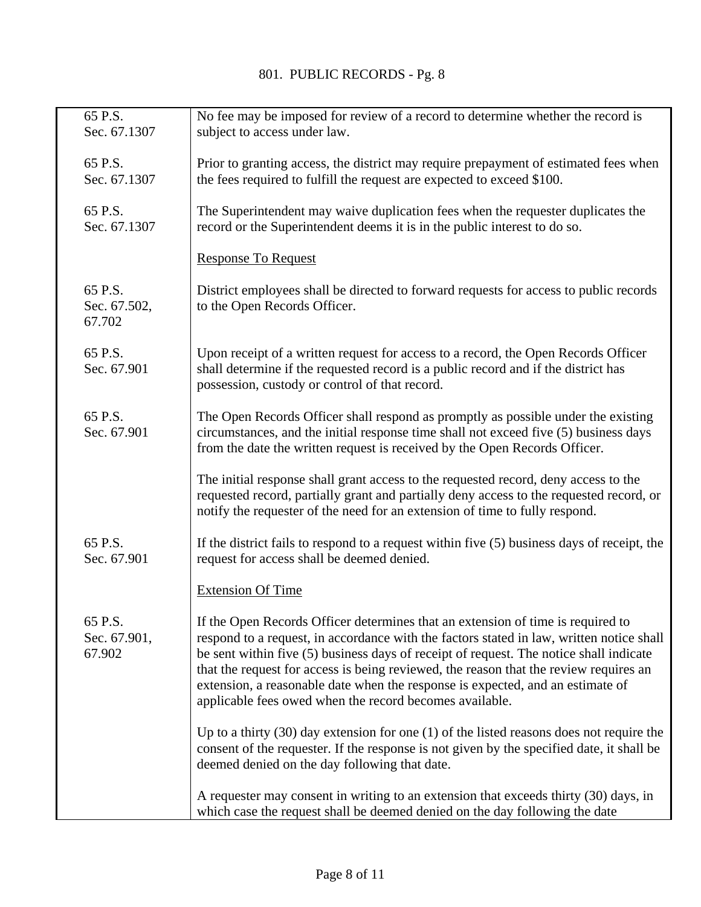| 65 P.S.<br>Sec. 67.1307           | No fee may be imposed for review of a record to determine whether the record is<br>subject to access under law.                                                                                                                                                                                                                                                                                                                                                                                             |
|-----------------------------------|-------------------------------------------------------------------------------------------------------------------------------------------------------------------------------------------------------------------------------------------------------------------------------------------------------------------------------------------------------------------------------------------------------------------------------------------------------------------------------------------------------------|
| 65 P.S.<br>Sec. 67.1307           | Prior to granting access, the district may require prepayment of estimated fees when<br>the fees required to fulfill the request are expected to exceed \$100.                                                                                                                                                                                                                                                                                                                                              |
| 65 P.S.<br>Sec. 67.1307           | The Superintendent may waive duplication fees when the requester duplicates the<br>record or the Superintendent deems it is in the public interest to do so.                                                                                                                                                                                                                                                                                                                                                |
|                                   | <b>Response To Request</b>                                                                                                                                                                                                                                                                                                                                                                                                                                                                                  |
| 65 P.S.<br>Sec. 67.502,<br>67.702 | District employees shall be directed to forward requests for access to public records<br>to the Open Records Officer.                                                                                                                                                                                                                                                                                                                                                                                       |
| 65 P.S.<br>Sec. 67.901            | Upon receipt of a written request for access to a record, the Open Records Officer<br>shall determine if the requested record is a public record and if the district has<br>possession, custody or control of that record.                                                                                                                                                                                                                                                                                  |
| 65 P.S.<br>Sec. 67.901            | The Open Records Officer shall respond as promptly as possible under the existing<br>circumstances, and the initial response time shall not exceed five (5) business days<br>from the date the written request is received by the Open Records Officer.                                                                                                                                                                                                                                                     |
|                                   | The initial response shall grant access to the requested record, deny access to the<br>requested record, partially grant and partially deny access to the requested record, or<br>notify the requester of the need for an extension of time to fully respond.                                                                                                                                                                                                                                               |
| 65 P.S.<br>Sec. 67.901            | If the district fails to respond to a request within five $(5)$ business days of receipt, the<br>request for access shall be deemed denied.                                                                                                                                                                                                                                                                                                                                                                 |
|                                   | <b>Extension Of Time</b>                                                                                                                                                                                                                                                                                                                                                                                                                                                                                    |
| 65 P.S.<br>Sec. 67.901,<br>67.902 | If the Open Records Officer determines that an extension of time is required to<br>respond to a request, in accordance with the factors stated in law, written notice shall<br>be sent within five (5) business days of receipt of request. The notice shall indicate<br>that the request for access is being reviewed, the reason that the review requires an<br>extension, a reasonable date when the response is expected, and an estimate of<br>applicable fees owed when the record becomes available. |
|                                   | Up to a thirty $(30)$ day extension for one $(1)$ of the listed reasons does not require the<br>consent of the requester. If the response is not given by the specified date, it shall be<br>deemed denied on the day following that date.                                                                                                                                                                                                                                                                  |
|                                   | A requester may consent in writing to an extension that exceeds thirty (30) days, in<br>which case the request shall be deemed denied on the day following the date                                                                                                                                                                                                                                                                                                                                         |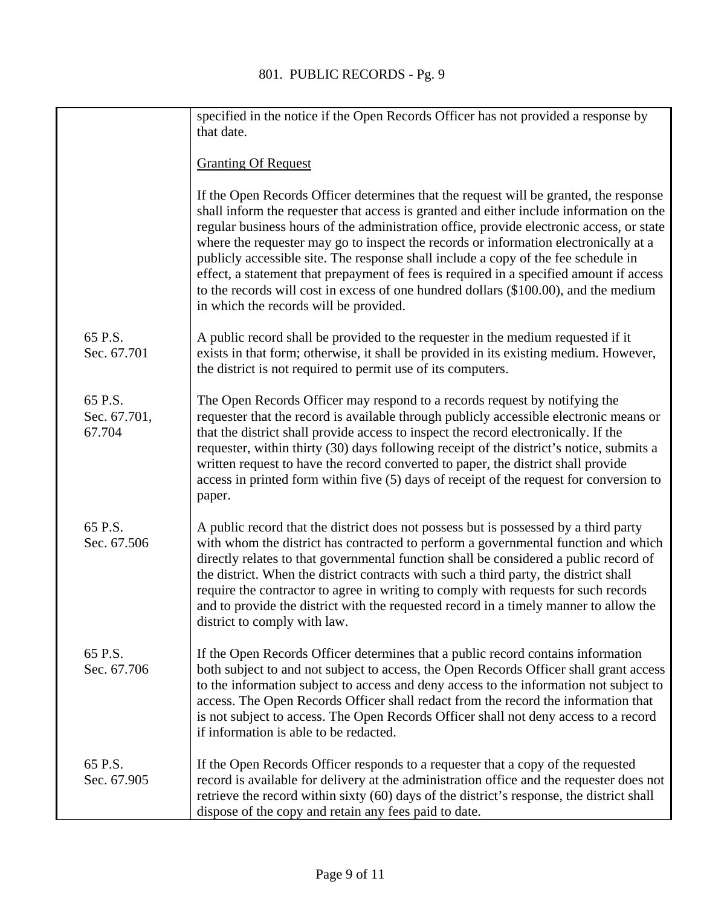|                                   | specified in the notice if the Open Records Officer has not provided a response by<br>that date.                                                                                                                                                                                                                                                                                                                                                                                                                                                                                                                                                                                        |
|-----------------------------------|-----------------------------------------------------------------------------------------------------------------------------------------------------------------------------------------------------------------------------------------------------------------------------------------------------------------------------------------------------------------------------------------------------------------------------------------------------------------------------------------------------------------------------------------------------------------------------------------------------------------------------------------------------------------------------------------|
|                                   | <b>Granting Of Request</b>                                                                                                                                                                                                                                                                                                                                                                                                                                                                                                                                                                                                                                                              |
|                                   | If the Open Records Officer determines that the request will be granted, the response<br>shall inform the requester that access is granted and either include information on the<br>regular business hours of the administration office, provide electronic access, or state<br>where the requester may go to inspect the records or information electronically at a<br>publicly accessible site. The response shall include a copy of the fee schedule in<br>effect, a statement that prepayment of fees is required in a specified amount if access<br>to the records will cost in excess of one hundred dollars (\$100.00), and the medium<br>in which the records will be provided. |
| 65 P.S.<br>Sec. 67.701            | A public record shall be provided to the requester in the medium requested if it<br>exists in that form; otherwise, it shall be provided in its existing medium. However,<br>the district is not required to permit use of its computers.                                                                                                                                                                                                                                                                                                                                                                                                                                               |
| 65 P.S.<br>Sec. 67.701,<br>67.704 | The Open Records Officer may respond to a records request by notifying the<br>requester that the record is available through publicly accessible electronic means or<br>that the district shall provide access to inspect the record electronically. If the<br>requester, within thirty (30) days following receipt of the district's notice, submits a<br>written request to have the record converted to paper, the district shall provide<br>access in printed form within five (5) days of receipt of the request for conversion to<br>paper.                                                                                                                                       |
| 65 P.S.<br>Sec. 67.506            | A public record that the district does not possess but is possessed by a third party<br>with whom the district has contracted to perform a governmental function and which<br>directly relates to that governmental function shall be considered a public record of<br>the district. When the district contracts with such a third party, the district shall<br>require the contractor to agree in writing to comply with requests for such records<br>and to provide the district with the requested record in a timely manner to allow the<br>district to comply with law.                                                                                                            |
| 65 P.S.<br>Sec. 67.706            | If the Open Records Officer determines that a public record contains information<br>both subject to and not subject to access, the Open Records Officer shall grant access<br>to the information subject to access and deny access to the information not subject to<br>access. The Open Records Officer shall redact from the record the information that<br>is not subject to access. The Open Records Officer shall not deny access to a record<br>if information is able to be redacted.                                                                                                                                                                                            |
| 65 P.S.<br>Sec. 67.905            | If the Open Records Officer responds to a requester that a copy of the requested<br>record is available for delivery at the administration office and the requester does not<br>retrieve the record within sixty (60) days of the district's response, the district shall<br>dispose of the copy and retain any fees paid to date.                                                                                                                                                                                                                                                                                                                                                      |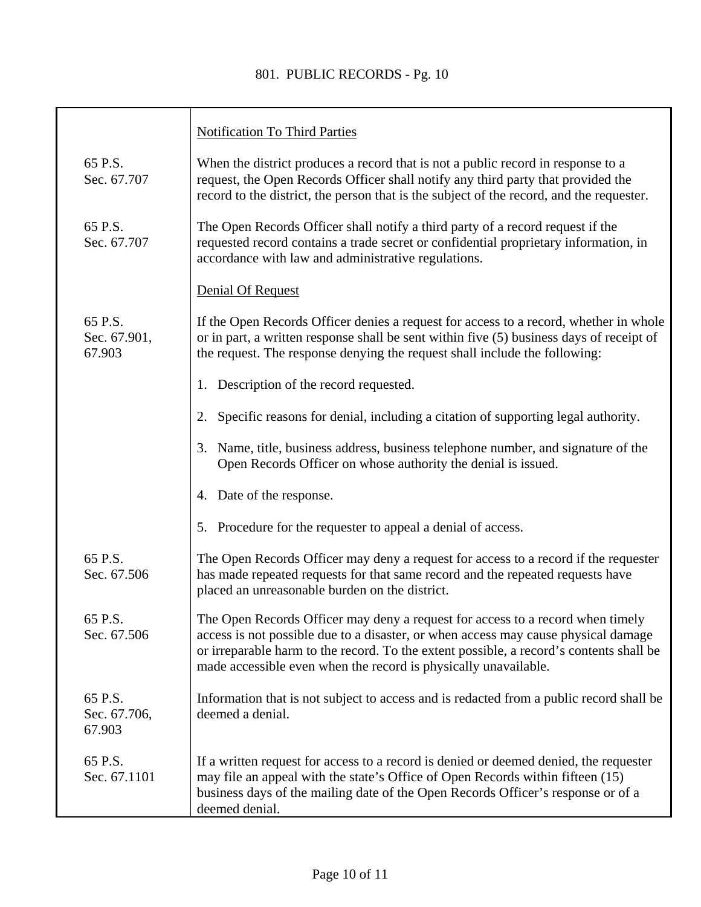## 801. PUBLIC RECORDS - Pg. 10

|                                   | <b>Notification To Third Parties</b>                                                                                                                                                                                                                                                                                               |
|-----------------------------------|------------------------------------------------------------------------------------------------------------------------------------------------------------------------------------------------------------------------------------------------------------------------------------------------------------------------------------|
| 65 P.S.<br>Sec. 67.707            | When the district produces a record that is not a public record in response to a<br>request, the Open Records Officer shall notify any third party that provided the<br>record to the district, the person that is the subject of the record, and the requester.                                                                   |
| 65 P.S.<br>Sec. 67.707            | The Open Records Officer shall notify a third party of a record request if the<br>requested record contains a trade secret or confidential proprietary information, in<br>accordance with law and administrative regulations.                                                                                                      |
|                                   | Denial Of Request                                                                                                                                                                                                                                                                                                                  |
| 65 P.S.<br>Sec. 67.901,<br>67.903 | If the Open Records Officer denies a request for access to a record, whether in whole<br>or in part, a written response shall be sent within five (5) business days of receipt of<br>the request. The response denying the request shall include the following:                                                                    |
|                                   | 1. Description of the record requested.                                                                                                                                                                                                                                                                                            |
|                                   | Specific reasons for denial, including a citation of supporting legal authority.                                                                                                                                                                                                                                                   |
|                                   | Name, title, business address, business telephone number, and signature of the<br>3.<br>Open Records Officer on whose authority the denial is issued.                                                                                                                                                                              |
|                                   | 4. Date of the response.                                                                                                                                                                                                                                                                                                           |
|                                   | 5. Procedure for the requester to appeal a denial of access.                                                                                                                                                                                                                                                                       |
| 65 P.S.<br>Sec. 67.506            | The Open Records Officer may deny a request for access to a record if the requester<br>has made repeated requests for that same record and the repeated requests have<br>placed an unreasonable burden on the district.                                                                                                            |
| 65 P.S<br>Sec. 67.506             | The Open Records Officer may deny a request for access to a record when timely<br>access is not possible due to a disaster, or when access may cause physical damage<br>or irreparable harm to the record. To the extent possible, a record's contents shall be<br>made accessible even when the record is physically unavailable. |
| 65 P.S.<br>Sec. 67.706,<br>67.903 | Information that is not subject to access and is redacted from a public record shall be<br>deemed a denial.                                                                                                                                                                                                                        |
| 65 P.S.<br>Sec. 67.1101           | If a written request for access to a record is denied or deemed denied, the requester<br>may file an appeal with the state's Office of Open Records within fifteen (15)<br>business days of the mailing date of the Open Records Officer's response or of a<br>deemed denial.                                                      |